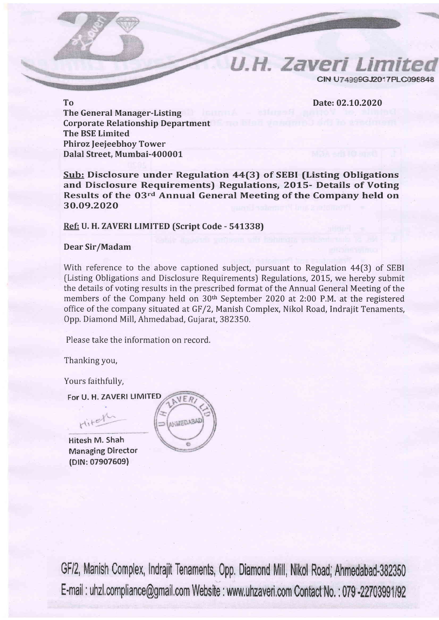**U.H. Zaveri Limit** CIN U74999G.I2017PLC098848

Date: 02.10.2020

To **The General Manager-Listing Corporate Relationship Department The BSE Limited Phiroz Jeejeebhov Tower** Dalal Street, Mumbai-400001

Sub: Disclosure under Regulation 44(3) of SEBI (Listing Obligations and Disclosure Requirements) Regulations, 2015- Details of Voting Results of the 03rd Annual General Meeting of the Company held on 30.09.2020

## Ref: U. H. ZAVERI LIMITED (Script Code - 541338)

## Dear Sir/Madam

With reference to the above captioned subject, pursuant to Regulation 44(3) of SEBI (Listing Obligations and Disclosure Requirements) Regulations, 2015, we hereby submit the details of voting results in the prescribed format of the Annual General Meeting of the members of the Company held on 30<sup>th</sup> September 2020 at 2:00 P.M. at the registered office of the company situated at GF/2, Manish Complex, Nikol Road, Indrajit Tenaments, Opp. Diamond Mill, Ahmedabad, Gujarat, 382350.

Please take the information on record.

Thanking you,

Yours faithfully,

For U. H. ZAVERI LIMITED

Hitel

Hitesh M. Shah **Managing Director** (DIN: 07907609)



GF/2, Manish Complex, Indrajit Tenaments, Opp. Diamond Mill, Nikol Road; Ahmedabad-382350 E-mail: uhzl.compliance@gmail.com Website: www.uhzaveri.com Contact No.: 079-22703991/92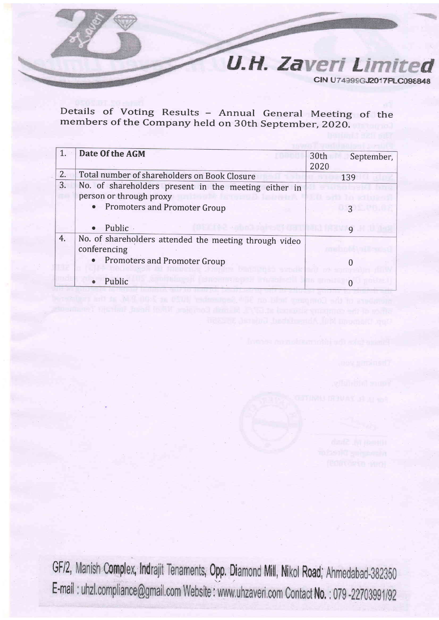

Details of Voting Results - Annual General Meeting of the members of the Company held on 30th September, 2020.

|    | Date Of the AGM                                                                 | 30th<br>September,<br>2020 |
|----|---------------------------------------------------------------------------------|----------------------------|
| 2. | Total number of shareholders on Book Closure                                    | 139                        |
| 3. | No. of shareholders present in the meeting either in<br>person or through proxy |                            |
|    | • Promoters and Promoter Group                                                  |                            |
|    | Public ·<br>$\bullet$                                                           |                            |
| 4. | No. of shareholders attended the meeting through video<br>conferencing          |                            |
|    | <b>Promoters and Promoter Group</b><br>$\bullet$                                |                            |
|    | Public                                                                          |                            |

GF/2, Manish Complex, Indrajit Tenaments, Opp. Diamond Mill, Nikol Road; Ahmedabad-382350 E-mail : uhzl.compliance@gmail.com Website : www.uhzaveri.com Contact No. : 079-22703991/92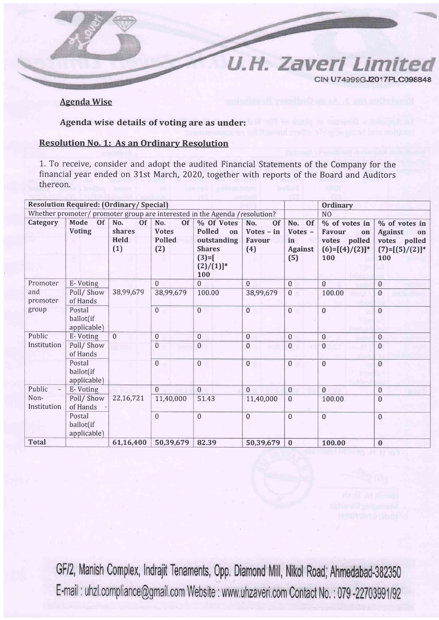U.H. Zaveri CIN U74999GJ2017PLC098848

*I imit* 

**Agenda Wise** 

Agenda wise details of voting are as under:

## **Resolution No. 1: As an Ordinary Resolution**

1. To receive, consider and adopt the audited Financial Statements of the Company for the financial year ended on 31st March, 2020, together with reports of the Board and Auditors thereon.

| <b>Resolution Required: (Ordinary/Special)</b>                              |                                    |                                                  |                                                   |                                                                                               |                                                   | <b>Ordinary</b>                                  |                                                                           |                                                                                      |
|-----------------------------------------------------------------------------|------------------------------------|--------------------------------------------------|---------------------------------------------------|-----------------------------------------------------------------------------------------------|---------------------------------------------------|--------------------------------------------------|---------------------------------------------------------------------------|--------------------------------------------------------------------------------------|
| Whether promoter/ promoter group are interested in the Agenda / resolution? |                                    |                                                  |                                                   |                                                                                               |                                                   | N <sub>O</sub>                                   |                                                                           |                                                                                      |
| Category                                                                    | Mode<br><b>Of</b><br><b>Voting</b> | No.<br><b>Of</b><br>shares<br><b>Held</b><br>(1) | No.<br><b>Of</b><br><b>Votes</b><br>Polled<br>(2) | % Of Votes<br><b>Polled</b><br>on<br>outstanding<br><b>Shares</b><br>$(3)=$ [<br>$(2)/(1)]^*$ | No.<br><b>Of</b><br>$Votes - in$<br>Favour<br>(4) | No. Of<br>Votes -<br>in<br><b>Against</b><br>(5) | % of votes in<br>Favour<br>on<br>votes polled<br>$(6)=[(4)/(2)]^*$<br>100 | % of votes in<br><b>Against</b><br>on<br>votes<br>polled<br>$(7)=[(5)/(2)]^*$<br>100 |
| Promoter                                                                    | E-Voting                           |                                                  | $\Omega$                                          | 100<br>$\overline{0}$                                                                         | $\Omega$                                          | $\Omega$                                         | $\Omega$                                                                  | $\mathbf{0}$                                                                         |
| and<br>promoter                                                             | Poll/Show<br>of Hands              | 38,99,679                                        | 38,99,679                                         | 100.00                                                                                        | 38,99,679                                         | $\mathbf{0}$                                     | 100.00                                                                    | $\mathbf{0}$                                                                         |
| group                                                                       | Postal<br>ballot(if<br>applicable) |                                                  | $\overline{0}$                                    | $\overline{0}$                                                                                | $\mathbf{0}$                                      | $\overline{0}$                                   | $\overline{0}$                                                            | $\mathbf{0}$                                                                         |
| Public                                                                      | E-Voting                           | $\overline{0}$                                   | $\mathbf{0}$                                      | $\mathbf 0$                                                                                   | $\mathbf{0}$                                      | $\mathbf{0}$                                     | $\mathbf{0}$                                                              | $\overline{0}$                                                                       |
| Institution                                                                 | Poll/Show<br>of Hands              |                                                  | $\mathbf{0}$                                      | $\boldsymbol{0}$                                                                              | $\mathbf 0$                                       | $\mathbf{0}$                                     | $\theta$                                                                  | $\mathbf{0}$                                                                         |
|                                                                             | Postal<br>ballot(if<br>applicable) |                                                  | $\overline{0}$                                    | $\overline{0}$                                                                                | $\overline{0}$                                    | $\overline{0}$                                   | $\mathbf{0}$                                                              | $\overline{0}$                                                                       |
| Public<br>$\overline{\phantom{0}}$                                          | E-Voting                           |                                                  | $\mathbf{0}$                                      | $\theta$                                                                                      | $\Omega$                                          | $\mathbf{0}$                                     | $\Omega$                                                                  | $\overline{0}$                                                                       |
| Non-<br>Institution                                                         | Poll/Show<br>of Hands              | 22,16,721                                        | 11,40,000                                         | 51.43                                                                                         | 11,40,000                                         | $\mathbf{0}$                                     | 100.00                                                                    | $\mathbf{0}$                                                                         |
|                                                                             | Postal<br>ballot(if<br>applicable) |                                                  | $\overline{0}$                                    | $\theta$                                                                                      | $\Omega$                                          | $\mathbf{0}$                                     | $\Omega$                                                                  | $\overline{0}$                                                                       |
| <b>Total</b>                                                                |                                    | 61,16,400                                        | 50,39,679                                         | 82.39                                                                                         | 50,39,679                                         | $\bf{0}$                                         | 100.00                                                                    | $\bf{0}$                                                                             |

GF/2, Manish Complex, Indrajit Tenaments, Opp. Diamond Mill, Nikol Road; Ahmedabad-382350 E-mail: uhzl.compliance@gmail.com Website: www.uhzaveri.com Contact No.: 079-22703991/92